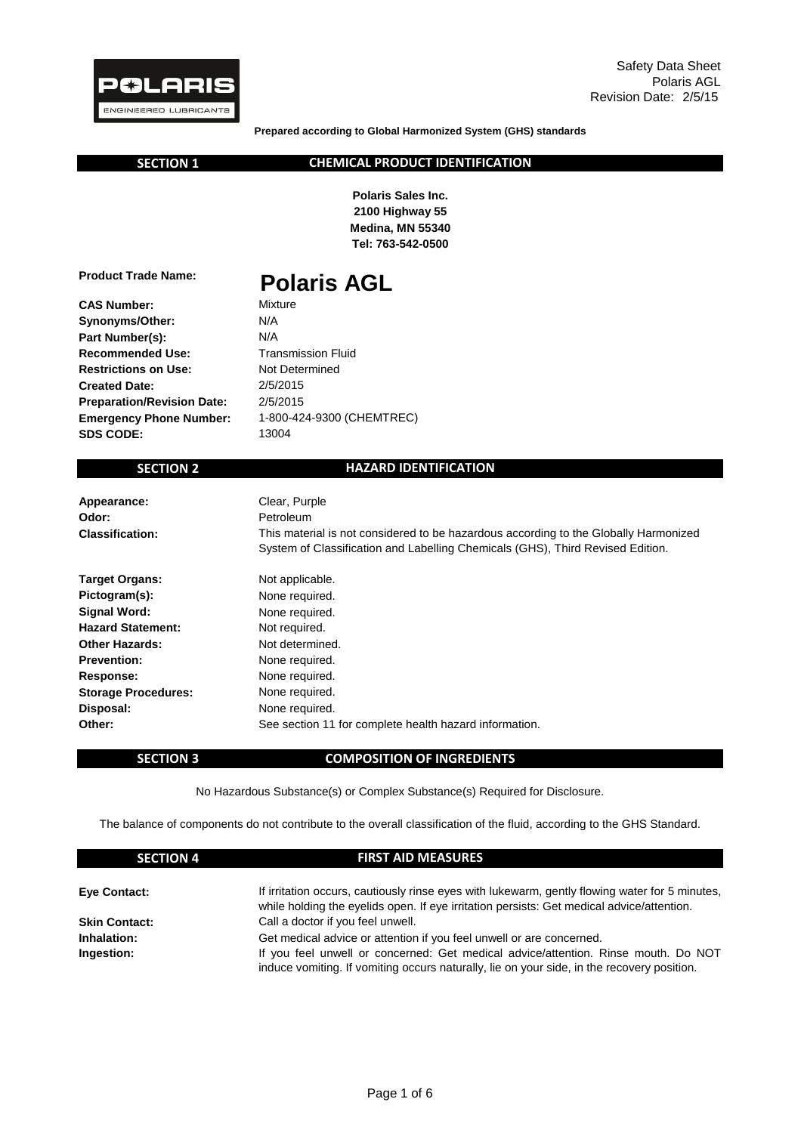

**Prepared according to Global Harmonized System (GHS) standards**

 **SECTION 1**

#### **CHEMICAL PRODUCT IDENTIFICATION**

**Polaris Sales Inc. 2100 Highway 55 Medina, MN 55340 Tel: 763-542-0500**

**Product Trade Name:**

# **Polaris AGL**

**CAS Number: Synonyms/Other: Part Number(s): Recommended Use: Restrictions on Use: Created Date: Preparation/Revision Date: Emergency Phone Number: SDS CODE:**

N/A 2/5/2015 13004 2/5/2015 Not Determined Transmission Fluid N/A Mixture 1-800-424-9300 (CHEMTREC)

# **SECTION 2**

#### **HAZARD IDENTIFICATION**

| Appearance:<br>Odor:<br><b>Classification:</b> | Clear, Purple<br>Petroleum<br>This material is not considered to be hazardous according to the Globally Harmonized<br>System of Classification and Labelling Chemicals (GHS), Third Revised Edition. |
|------------------------------------------------|------------------------------------------------------------------------------------------------------------------------------------------------------------------------------------------------------|
| <b>Target Organs:</b>                          | Not applicable.                                                                                                                                                                                      |
| Pictogram(s):                                  | None required.                                                                                                                                                                                       |
| Signal Word:                                   | None required.                                                                                                                                                                                       |
| <b>Hazard Statement:</b>                       | Not required.                                                                                                                                                                                        |
| <b>Other Hazards:</b>                          | Not determined.                                                                                                                                                                                      |
| <b>Prevention:</b>                             | None required.                                                                                                                                                                                       |
| Response:                                      | None required.                                                                                                                                                                                       |
| <b>Storage Procedures:</b>                     | None required.                                                                                                                                                                                       |
| Disposal:                                      | None required.                                                                                                                                                                                       |
| Other:                                         | See section 11 for complete health hazard information.                                                                                                                                               |

#### **SECTION 3**

#### **COMPOSITION OF INGREDIENTS**

No Hazardous Substance(s) or Complex Substance(s) Required for Disclosure.

The balance of components do not contribute to the overall classification of the fluid, according to the GHS Standard.

| <b>SECTION 4</b>     | <b>FIRST AID MEASURES</b>                                                                                                                                                                   |
|----------------------|---------------------------------------------------------------------------------------------------------------------------------------------------------------------------------------------|
| <b>Eye Contact:</b>  | If irritation occurs, cautiously rinse eyes with lukewarm, gently flowing water for 5 minutes,<br>while holding the eyelids open. If eye irritation persists: Get medical advice/attention. |
| <b>Skin Contact:</b> | Call a doctor if you feel unwell.                                                                                                                                                           |
| Inhalation:          | Get medical advice or attention if you feel unwell or are concerned.                                                                                                                        |
| Ingestion:           | If you feel unwell or concerned: Get medical advice/attention. Rinse mouth. Do NOT<br>induce vomiting. If vomiting occurs naturally, lie on your side, in the recovery position.            |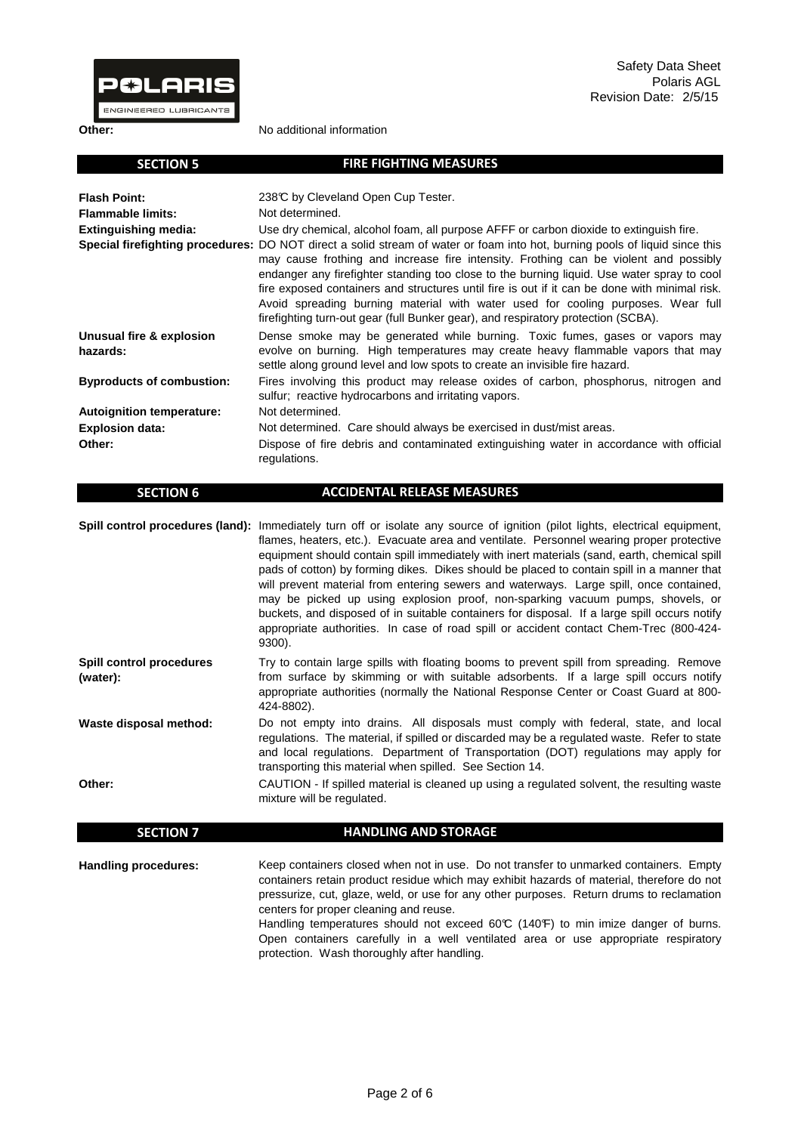

 **SECTION 6**

**Other:**

**Other:**

No additional information

| <b>SECTION 5</b>                     | <b>FIRE FIGHTING MEASURES</b>                                                                                                                                                                                                                                                                                                                                                                                                                                                                                                                                                               |
|--------------------------------------|---------------------------------------------------------------------------------------------------------------------------------------------------------------------------------------------------------------------------------------------------------------------------------------------------------------------------------------------------------------------------------------------------------------------------------------------------------------------------------------------------------------------------------------------------------------------------------------------|
| <b>Flash Point:</b>                  | 238℃ by Cleveland Open Cup Tester.                                                                                                                                                                                                                                                                                                                                                                                                                                                                                                                                                          |
| <b>Flammable limits:</b>             | Not determined.                                                                                                                                                                                                                                                                                                                                                                                                                                                                                                                                                                             |
| <b>Extinguishing media:</b>          | Use dry chemical, alcohol foam, all purpose AFFF or carbon dioxide to extinguish fire.                                                                                                                                                                                                                                                                                                                                                                                                                                                                                                      |
|                                      | Special firefighting procedures: DO NOT direct a solid stream of water or foam into hot, burning pools of liquid since this<br>may cause frothing and increase fire intensity. Frothing can be violent and possibly<br>endanger any firefighter standing too close to the burning liquid. Use water spray to cool<br>fire exposed containers and structures until fire is out if it can be done with minimal risk.<br>Avoid spreading burning material with water used for cooling purposes. Wear full<br>firefighting turn-out gear (full Bunker gear), and respiratory protection (SCBA). |
| Unusual fire & explosion<br>hazards: | Dense smoke may be generated while burning. Toxic fumes, gases or vapors may<br>evolve on burning. High temperatures may create heavy flammable vapors that may<br>settle along ground level and low spots to create an invisible fire hazard.                                                                                                                                                                                                                                                                                                                                              |
| <b>Byproducts of combustion:</b>     | Fires involving this product may release oxides of carbon, phosphorus, nitrogen and<br>sulfur; reactive hydrocarbons and irritating vapors.                                                                                                                                                                                                                                                                                                                                                                                                                                                 |
| <b>Autoignition temperature:</b>     | Not determined.                                                                                                                                                                                                                                                                                                                                                                                                                                                                                                                                                                             |
| <b>Explosion data:</b>               | Not determined. Care should always be exercised in dust/mist areas.                                                                                                                                                                                                                                                                                                                                                                                                                                                                                                                         |
| Other:                               | Dispose of fire debris and contaminated extinguishing water in accordance with official<br>regulations.                                                                                                                                                                                                                                                                                                                                                                                                                                                                                     |

|                                      | Spill control procedures (land): Immediately turn off or isolate any source of ignition (pilot lights, electrical equipment,<br>flames, heaters, etc.). Evacuate area and ventilate. Personnel wearing proper protective<br>equipment should contain spill immediately with inert materials (sand, earth, chemical spill<br>pads of cotton) by forming dikes. Dikes should be placed to contain spill in a manner that<br>will prevent material from entering sewers and waterways. Large spill, once contained,<br>may be picked up using explosion proof, non-sparking vacuum pumps, shovels, or<br>buckets, and disposed of in suitable containers for disposal. If a large spill occurs notify<br>appropriate authorities. In case of road spill or accident contact Chem-Trec (800-424-<br>9300). |
|--------------------------------------|--------------------------------------------------------------------------------------------------------------------------------------------------------------------------------------------------------------------------------------------------------------------------------------------------------------------------------------------------------------------------------------------------------------------------------------------------------------------------------------------------------------------------------------------------------------------------------------------------------------------------------------------------------------------------------------------------------------------------------------------------------------------------------------------------------|
| Spill control procedures<br>(water): | Try to contain large spills with floating booms to prevent spill from spreading. Remove<br>from surface by skimming or with suitable adsorbents. If a large spill occurs notify<br>appropriate authorities (normally the National Response Center or Coast Guard at 800-<br>424-8802).                                                                                                                                                                                                                                                                                                                                                                                                                                                                                                                 |

**ACCIDENTAL RELEASE MEASURES**

**Waste disposal method:** Do not empty into drains. All disposals must comply with federal, state, and local regulations. The material, if spilled or discarded may be a regulated waste. Refer to state and local regulations. Department of Transportation (DOT) regulations may apply for transporting this material when spilled. See Section 14.

CAUTION - If spilled material is cleaned up using a regulated solvent, the resulting waste mixture will be regulated.

| <b>SECTION 7</b>     | <b>HANDLING AND STORAGE</b>                                                                                                                                                                                                                                                                                                                                                                                                                                                                                                                         |
|----------------------|-----------------------------------------------------------------------------------------------------------------------------------------------------------------------------------------------------------------------------------------------------------------------------------------------------------------------------------------------------------------------------------------------------------------------------------------------------------------------------------------------------------------------------------------------------|
| Handling procedures: | Keep containers closed when not in use. Do not transfer to unmarked containers. Empty<br>containers retain product residue which may exhibit hazards of material, therefore do not<br>pressurize, cut, glaze, weld, or use for any other purposes. Return drums to reclamation<br>centers for proper cleaning and reuse.<br>Handling temperatures should not exceed 60°C (140°F) to min imize danger of burns.<br>Open containers carefully in a well ventilated area or use appropriate respiratory<br>protection. Wash thoroughly after handling. |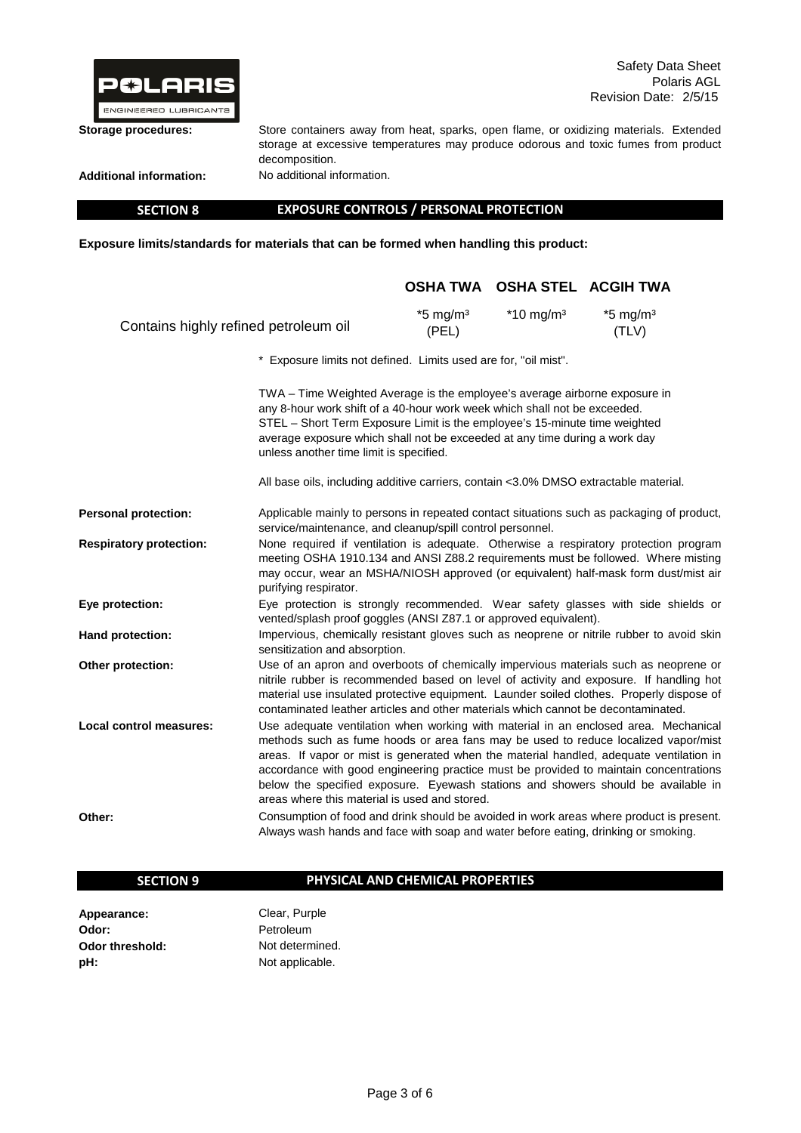

**Storage procedures:**

**Additional information:**

No additional information.

decomposition.

 **SECTION 8**

**EXPOSURE CONTROLS / PERSONAL PROTECTION**

Store containers away from heat, sparks, open flame, or oxidizing materials. Extended storage at excessive temperatures may produce odorous and toxic fumes from product

**Exposure limits/standards for materials that can be formed when handling this product:** 

|                                                                 |                                                                                                                                                                                                                                                                                                                                                                                                                                                                                                     |                                 | OSHA TWA OSHA STEL ACGIH TWA |                                 |
|-----------------------------------------------------------------|-----------------------------------------------------------------------------------------------------------------------------------------------------------------------------------------------------------------------------------------------------------------------------------------------------------------------------------------------------------------------------------------------------------------------------------------------------------------------------------------------------|---------------------------------|------------------------------|---------------------------------|
| Contains highly refined petroleum oil                           |                                                                                                                                                                                                                                                                                                                                                                                                                                                                                                     | $*5$ mg/m <sup>3</sup><br>(PEL) | $*10$ mg/m <sup>3</sup>      | $*5$ mg/m <sup>3</sup><br>(TLV) |
| * Exposure limits not defined. Limits used are for, "oil mist". |                                                                                                                                                                                                                                                                                                                                                                                                                                                                                                     |                                 |                              |                                 |
|                                                                 | TWA - Time Weighted Average is the employee's average airborne exposure in<br>any 8-hour work shift of a 40-hour work week which shall not be exceeded.<br>STEL - Short Term Exposure Limit is the employee's 15-minute time weighted<br>average exposure which shall not be exceeded at any time during a work day<br>unless another time limit is specified.                                                                                                                                      |                                 |                              |                                 |
|                                                                 | All base oils, including additive carriers, contain <3.0% DMSO extractable material.                                                                                                                                                                                                                                                                                                                                                                                                                |                                 |                              |                                 |
| <b>Personal protection:</b>                                     | Applicable mainly to persons in repeated contact situations such as packaging of product,<br>service/maintenance, and cleanup/spill control personnel.                                                                                                                                                                                                                                                                                                                                              |                                 |                              |                                 |
| <b>Respiratory protection:</b>                                  | None required if ventilation is adequate. Otherwise a respiratory protection program<br>meeting OSHA 1910.134 and ANSI Z88.2 requirements must be followed. Where misting<br>may occur, wear an MSHA/NIOSH approved (or equivalent) half-mask form dust/mist air<br>purifying respirator.                                                                                                                                                                                                           |                                 |                              |                                 |
| Eye protection:                                                 | Eye protection is strongly recommended. Wear safety glasses with side shields or<br>vented/splash proof goggles (ANSI Z87.1 or approved equivalent).                                                                                                                                                                                                                                                                                                                                                |                                 |                              |                                 |
| Hand protection:                                                | Impervious, chemically resistant gloves such as neoprene or nitrile rubber to avoid skin<br>sensitization and absorption.                                                                                                                                                                                                                                                                                                                                                                           |                                 |                              |                                 |
| Other protection:                                               | Use of an apron and overboots of chemically impervious materials such as neoprene or<br>nitrile rubber is recommended based on level of activity and exposure. If handling hot<br>material use insulated protective equipment. Launder soiled clothes. Properly dispose of<br>contaminated leather articles and other materials which cannot be decontaminated.                                                                                                                                     |                                 |                              |                                 |
| <b>Local control measures:</b>                                  | Use adequate ventilation when working with material in an enclosed area. Mechanical<br>methods such as fume hoods or area fans may be used to reduce localized vapor/mist<br>areas. If vapor or mist is generated when the material handled, adequate ventilation in<br>accordance with good engineering practice must be provided to maintain concentrations<br>below the specified exposure. Eyewash stations and showers should be available in<br>areas where this material is used and stored. |                                 |                              |                                 |
| Other:                                                          | Consumption of food and drink should be avoided in work areas where product is present.<br>Always wash hands and face with soap and water before eating, drinking or smoking.                                                                                                                                                                                                                                                                                                                       |                                 |                              |                                 |

#### **SECTION 9**

## **PHYSICAL AND CHEMICAL PROPERTIES**

**Appearance: Odor: Odor threshold: pH:**

Not applicable. Clear, Purple Not determined. Petroleum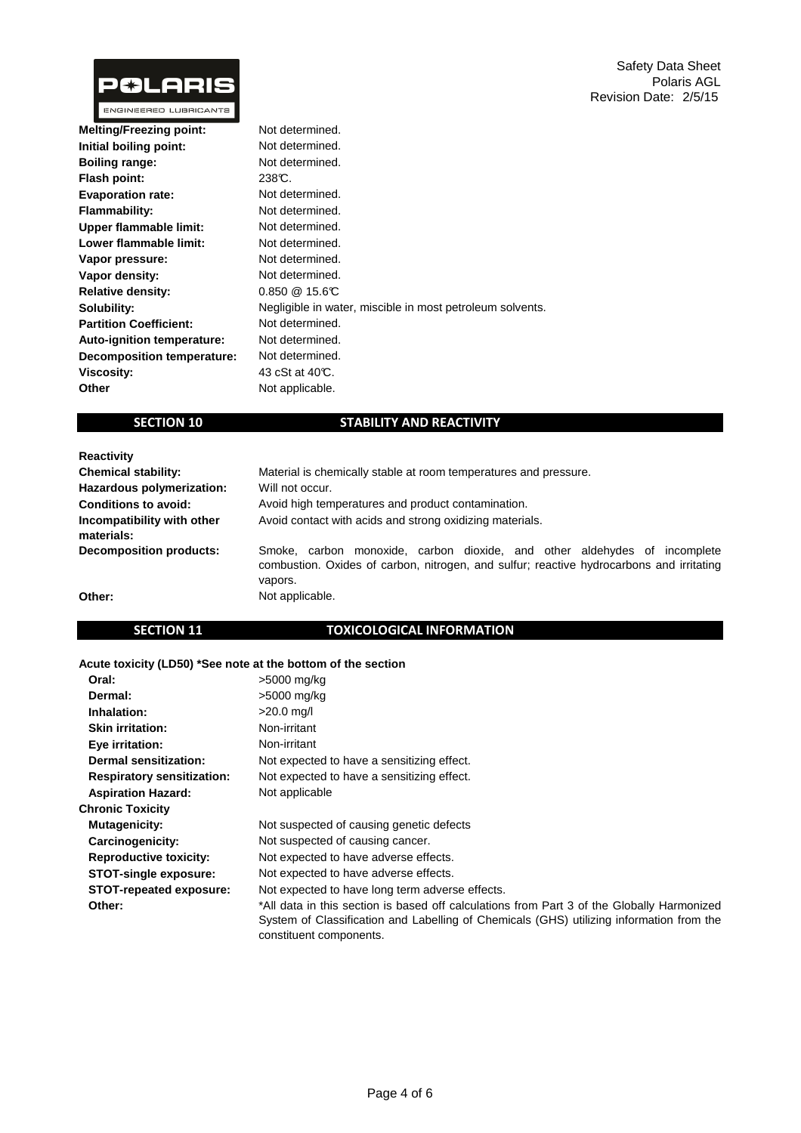

| Not determined.                                           |
|-----------------------------------------------------------|
| Not determined.                                           |
| Not determined.                                           |
| 238C.                                                     |
| Not determined.                                           |
| Not determined.                                           |
| Not determined.                                           |
| Not determined.                                           |
| Not determined.                                           |
| Not determined.                                           |
| $0.850 \ @ \ 15.6 \text{C}$                               |
| Negligible in water, miscible in most petroleum solvents. |
| Not determined.                                           |
| Not determined.                                           |
| Not determined.                                           |
| 43 cSt at 40°C.                                           |
| Not applicable.                                           |
|                                                           |

# **SECTION 10**

# **STABILITY AND REACTIVITY**

| <b>Reactivity</b>                        |                                                                                                                                                                                  |  |  |
|------------------------------------------|----------------------------------------------------------------------------------------------------------------------------------------------------------------------------------|--|--|
| <b>Chemical stability:</b>               | Material is chemically stable at room temperatures and pressure.                                                                                                                 |  |  |
| Hazardous polymerization:                | Will not occur.                                                                                                                                                                  |  |  |
| <b>Conditions to avoid:</b>              | Avoid high temperatures and product contamination.                                                                                                                               |  |  |
| Incompatibility with other<br>materials: | Avoid contact with acids and strong oxidizing materials.                                                                                                                         |  |  |
| <b>Decomposition products:</b>           | Smoke, carbon monoxide, carbon dioxide, and other aldehydes of incomplete<br>combustion. Oxides of carbon, nitrogen, and sulfur; reactive hydrocarbons and irritating<br>vapors. |  |  |
| Other:                                   | Not applicable.                                                                                                                                                                  |  |  |

## **SECTION 11**

# **TOXICOLOGICAL INFORMATION**

#### **Acute toxicity (LD50) \*See note at the bottom of the section**

| Oral:                             | >5000 mg/kg                                                                                                         |
|-----------------------------------|---------------------------------------------------------------------------------------------------------------------|
| Dermal:                           | >5000 mg/kg                                                                                                         |
| Inhalation:                       | $>20.0$ mg/l                                                                                                        |
| <b>Skin irritation:</b>           | Non-irritant                                                                                                        |
| Eye irritation:                   | Non-irritant                                                                                                        |
| Dermal sensitization:             | Not expected to have a sensitizing effect.                                                                          |
| <b>Respiratory sensitization:</b> | Not expected to have a sensitizing effect.                                                                          |
| <b>Aspiration Hazard:</b>         | Not applicable                                                                                                      |
| <b>Chronic Toxicity</b>           |                                                                                                                     |
| <b>Mutagenicity:</b>              | Not suspected of causing genetic defects                                                                            |
| Carcinogenicity:                  | Not suspected of causing cancer.                                                                                    |
| <b>Reproductive toxicity:</b>     | Not expected to have adverse effects.                                                                               |
| <b>STOT-single exposure:</b>      | Not expected to have adverse effects.                                                                               |
| <b>STOT-repeated exposure:</b>    | Not expected to have long term adverse effects.                                                                     |
| Other:                            | *All data in this section is based off calculations from Part 3 of the Globally Harmonized                          |
|                                   | System of Classification and Labelling of Chemicals (GHS) utilizing information from the<br>constituent components. |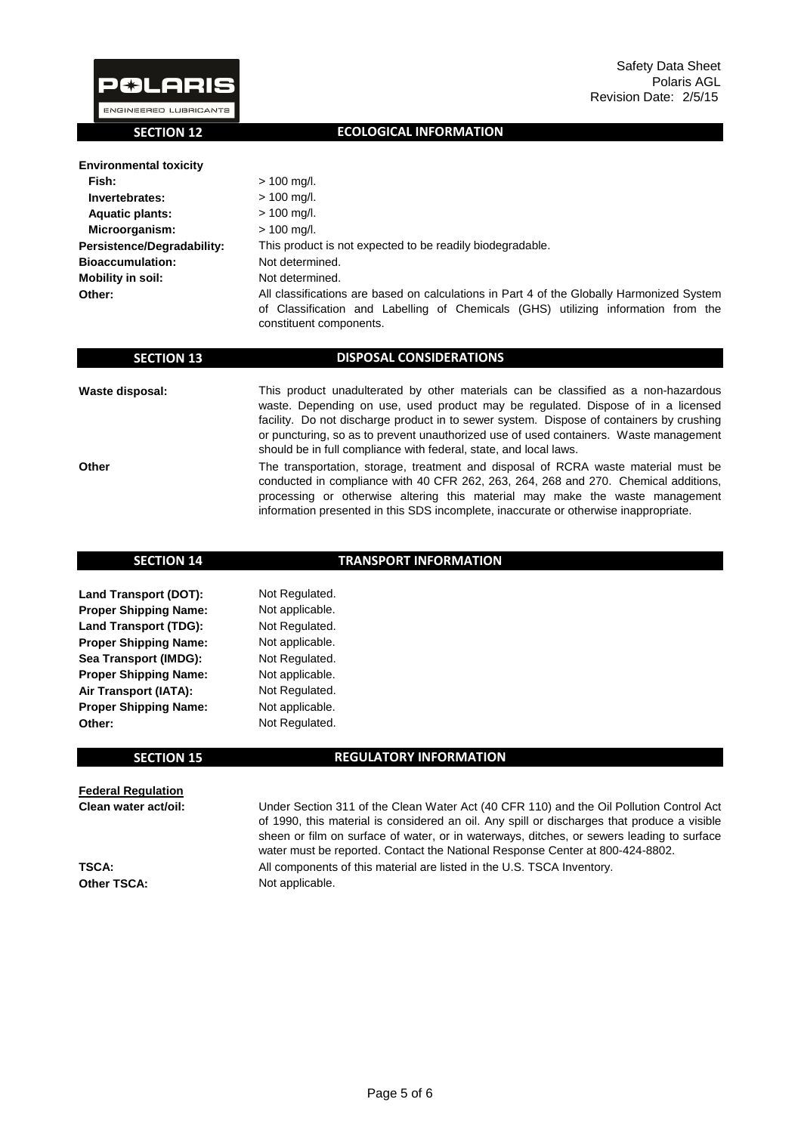

 **SECTION 12**

### **ECOLOGICAL INFORMATION**

| <b>Environmental toxicity</b> |                                                                                                                                                                                                           |
|-------------------------------|-----------------------------------------------------------------------------------------------------------------------------------------------------------------------------------------------------------|
| Fish:                         | $> 100$ mg/l.                                                                                                                                                                                             |
| Invertebrates:                | $> 100$ mg/l.                                                                                                                                                                                             |
| <b>Aquatic plants:</b>        | $> 100$ mg/l.                                                                                                                                                                                             |
| Microorganism:                | $> 100$ mg/l.                                                                                                                                                                                             |
| Persistence/Degradability:    | This product is not expected to be readily biodegradable.                                                                                                                                                 |
| <b>Bioaccumulation:</b>       | Not determined.                                                                                                                                                                                           |
| <b>Mobility in soil:</b>      | Not determined.                                                                                                                                                                                           |
| Other:                        | All classifications are based on calculations in Part 4 of the Globally Harmonized System<br>of Classification and Labelling of Chemicals (GHS) utilizing information from the<br>constituent components. |

| <b>SECTION 13</b> | <b>DISPOSAL CONSIDERATIONS</b>                                                                                                                                                                                                                                                                                                                                                                                                   |
|-------------------|----------------------------------------------------------------------------------------------------------------------------------------------------------------------------------------------------------------------------------------------------------------------------------------------------------------------------------------------------------------------------------------------------------------------------------|
| Waste disposal:   | This product unadulterated by other materials can be classified as a non-hazardous<br>waste. Depending on use, used product may be regulated. Dispose of in a licensed<br>facility. Do not discharge product in to sewer system. Dispose of containers by crushing<br>or puncturing, so as to prevent unauthorized use of used containers. Waste management<br>should be in full compliance with federal, state, and local laws. |
| Other             | The transportation, storage, treatment and disposal of RCRA waste material must be<br>conducted in compliance with 40 CFR 262, 263, 264, 268 and 270. Chemical additions,<br>processing or otherwise altering this material may make the waste management<br>information presented in this SDS incomplete, inaccurate or otherwise inappropriate.                                                                                |

| <b>SECTION 14</b>            | <b>TRANSPORT INFORMATION</b>  |  |  |
|------------------------------|-------------------------------|--|--|
|                              |                               |  |  |
| <b>Land Transport (DOT):</b> | Not Regulated.                |  |  |
| <b>Proper Shipping Name:</b> | Not applicable.               |  |  |
| <b>Land Transport (TDG):</b> | Not Regulated.                |  |  |
| <b>Proper Shipping Name:</b> | Not applicable.               |  |  |
| Sea Transport (IMDG):        | Not Regulated.                |  |  |
| <b>Proper Shipping Name:</b> | Not applicable.               |  |  |
| Air Transport (IATA):        | Not Regulated.                |  |  |
| <b>Proper Shipping Name:</b> | Not applicable.               |  |  |
| Other:                       | Not Regulated.                |  |  |
|                              |                               |  |  |
| <b>SECTION 15</b>            | <b>REGULATORY INFORMATION</b> |  |  |

**Federal Regulation Clean water act/oil:**

**TSCA: Other TSCA:**

Not applicable. All components of this material are listed in the U.S. TSCA Inventory. Under Section 311 of the Clean Water Act (40 CFR 110) and the Oil Pollution Control Act of 1990, this material is considered an oil. Any spill or discharges that produce a visible sheen or film on surface of water, or in waterways, ditches, or sewers leading to surface water must be reported. Contact the National Response Center at 800-424-8802.